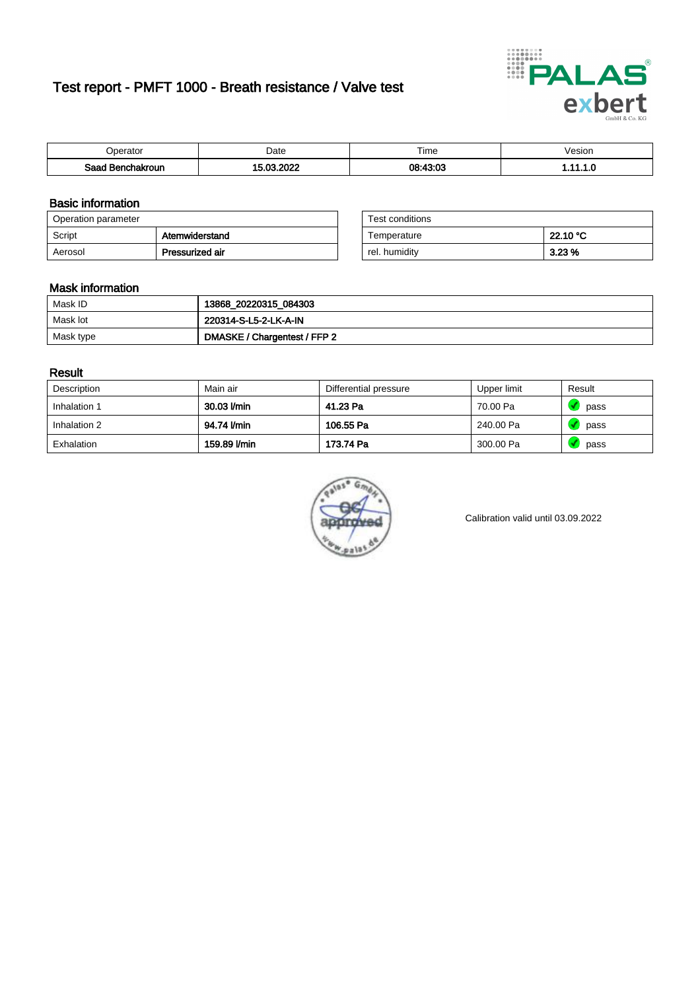# Test report - PMFT 1000 - Breath resistance / Valve test



| <b>'</b> perator                | Date      | $- \cdot$<br><b>Time</b> | esion |
|---------------------------------|-----------|--------------------------|-------|
| Saad<br><b>nchakroun</b><br>. . | 000<br>^^ | 08.13.03                 | .     |

### Basic information

| Operation parameter |                 | Test conditions |          |
|---------------------|-----------------|-----------------|----------|
| Script              | Atemwiderstand  | Temperature     | 22.10 °C |
| Aerosol             | Pressurized air | rel. humidity   | 3.23%    |

| Test conditions |          |
|-----------------|----------|
| Temperature     | 22.10 °C |
| rel. humidity   | 3.23%    |

### Mask information

| Mask ID   | 13868_20220315_084303        |
|-----------|------------------------------|
| Mask lot  | 220314-S-L5-2-LK-A-IN        |
| Mask type | DMASKE / Chargentest / FFP 2 |

### Result

| Description  | Main air     | Differential pressure | Upper limit | Result |
|--------------|--------------|-----------------------|-------------|--------|
| Inhalation 1 | 30.03 l/min  | 41.23 Pa              | 70.00 Pa    | pass   |
| Inhalation 2 | 94.74 I/min  | 106.55 Pa             | 240.00 Pa   | pass   |
| Exhalation   | 159.89 l/min | 173.74 Pa             | 300.00 Pa   | pass   |



Calibration valid until 03.09.2022